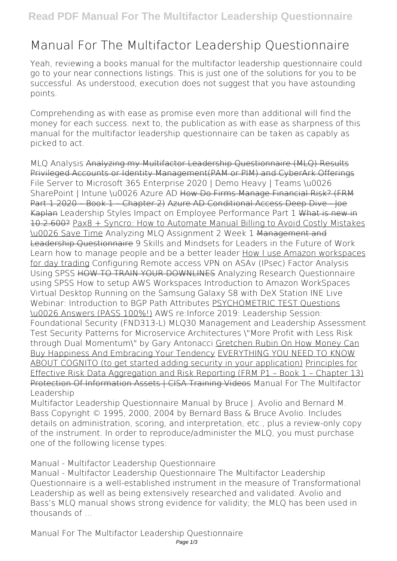## **Manual For The Multifactor Leadership Questionnaire**

Yeah, reviewing a books **manual for the multifactor leadership questionnaire** could go to your near connections listings. This is just one of the solutions for you to be successful. As understood, execution does not suggest that you have astounding points.

Comprehending as with ease as promise even more than additional will find the money for each success. next to, the publication as with ease as sharpness of this manual for the multifactor leadership questionnaire can be taken as capably as picked to act.

*MLQ Analysis* Analyzing my Multifactor Leadership Questionnaire (MLQ) Results Privileged Accounts or Identity Management(PAM or PIM) and CyberArk Offerings *File Server to Microsoft 365 Enterprise 2020 | Demo Heavy | Teams \u0026 SharePoint | Intune \u0026 Azure AD* How Do Firms Manage Financial Risk? (FRM Part 1 2020 – Book 1 – Chapter 2) Azure AD Conditional Access Deep Dive - Joe Kaplan *Leadership Styles Impact on Employee Performance Part 1* What is new in 10.2.600? Pax8 + Syncro: How to Automate Manual Billing to Avoid Costly Mistakes \u0026 Save Time *Analyzing MLQ Assignment 2 Week 1* Management and Leadership Questionnaire *9 Skills and Mindsets for Leaders in the Future of Work* **Learn how to manage people and be a better leader** How I use Amazon workspaces for day trading *Configuring Remote access VPN on ASAv (IPsec) Factor Analysis Using SPSS* HOW TO TRAIN YOUR DOWNLINES Analyzing Research Questionnaire using SPSS *How to setup AWS Workspaces Introduction to Amazon WorkSpaces Virtual Desktop Running on the Samsung Galaxy S8 with DeX Station* **INE Live Webinar: Introduction to BGP Path Attributes** PSYCHOMETRIC TEST Questions \u0026 Answers (PASS 100%!) AWS re:Inforce 2019: Leadership Session: Foundational Security (FND313-L) *MLQ30 Management and Leadership Assessment Test Security Patterns for Microservice Architectures* \"More Profit with Less Risk through Dual Momentum\" by Gary Antonacci Gretchen Rubin On How Money Can Buy Happiness And Embracing Your Tendency EVERYTHING YOU NEED TO KNOW ABOUT COGNITO (to get started adding security in your application) Principles for Effective Risk Data Aggregation and Risk Reporting (FRM P1 – Book 1 – Chapter 13) Protection Of Information Assets | CISA Training Videos **Manual For The Multifactor Leadership**

Multifactor Leadership Questionnaire Manual by Bruce J. Avolio and Bernard M. Bass Copyright © 1995, 2000, 2004 by Bernard Bass & Bruce Avolio. Includes details on administration, scoring, and interpretation, etc., plus a review-only copy of the instrument. In order to reproduce/administer the MLQ, you must purchase one of the following license types:

**Manual - Multifactor Leadership Questionnaire**

Manual - Multifactor Leadership Questionnaire The Multifactor Leadership Questionnaire is a well-established instrument in the measure of Transformational Leadership as well as being extensively researched and validated. Avolio and Bass's MLQ manual shows strong evidence for validity; the MLQ has been used in thousands of ...

**Manual For The Multifactor Leadership Questionnaire**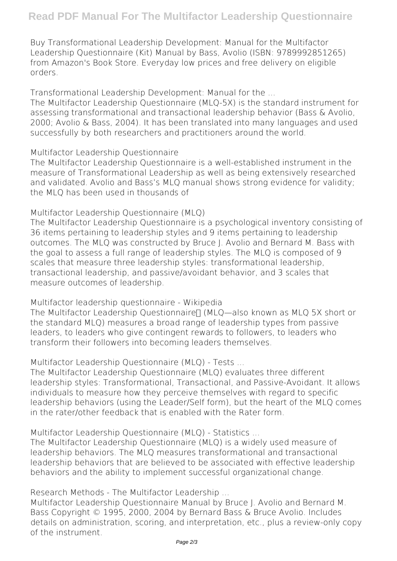Buy Transformational Leadership Development: Manual for the Multifactor Leadership Questionnaire (Kit) Manual by Bass, Avolio (ISBN: 9789992851265) from Amazon's Book Store. Everyday low prices and free delivery on eligible orders.

**Transformational Leadership Development: Manual for the ...**

The Multifactor Leadership Questionnaire (MLQ-5X) is the standard instrument for assessing transformational and transactional leadership behavior (Bass & Avolio, 2000; Avolio & Bass, 2004). It has been translated into many languages and used successfully by both researchers and practitioners around the world.

**Multifactor Leadership Questionnaire**

The Multifactor Leadership Questionnaire is a well-established instrument in the measure of Transformational Leadership as well as being extensively researched and validated. Avolio and Bass's MLQ manual shows strong evidence for validity; the MLQ has been used in thousands of

**Multifactor Leadership Questionnaire (MLQ)**

The Multifactor Leadership Questionnaire is a psychological inventory consisting of 36 items pertaining to leadership styles and 9 items pertaining to leadership outcomes. The MLQ was constructed by Bruce J. Avolio and Bernard M. Bass with the goal to assess a full range of leadership styles. The MLQ is composed of 9 scales that measure three leadership styles: transformational leadership, transactional leadership, and passive/avoidant behavior, and 3 scales that measure outcomes of leadership.

**Multifactor leadership questionnaire - Wikipedia**

The Multifactor Leadership Questionnaire∏ (MLO—also known as MLO 5X short or the standard MLQ) measures a broad range of leadership types from passive leaders, to leaders who give contingent rewards to followers, to leaders who transform their followers into becoming leaders themselves.

**Multifactor Leadership Questionnaire (MLQ) - Tests ...**

The Multifactor Leadership Questionnaire (MLQ) evaluates three different leadership styles: Transformational, Transactional, and Passive-Avoidant. It allows individuals to measure how they perceive themselves with regard to specific leadership behaviors (using the Leader/Self form), but the heart of the MLQ comes in the rater/other feedback that is enabled with the Rater form.

**Multifactor Leadership Questionnaire (MLQ) - Statistics ...**

The Multifactor Leadership Questionnaire (MLQ) is a widely used measure of leadership behaviors. The MLQ measures transformational and transactional leadership behaviors that are believed to be associated with effective leadership behaviors and the ability to implement successful organizational change.

**Research Methods - The Multifactor Leadership ...**

Multifactor Leadership Questionnaire Manual by Bruce J. Avolio and Bernard M. Bass Copyright © 1995, 2000, 2004 by Bernard Bass & Bruce Avolio. Includes details on administration, scoring, and interpretation, etc., plus a review-only copy of the instrument.